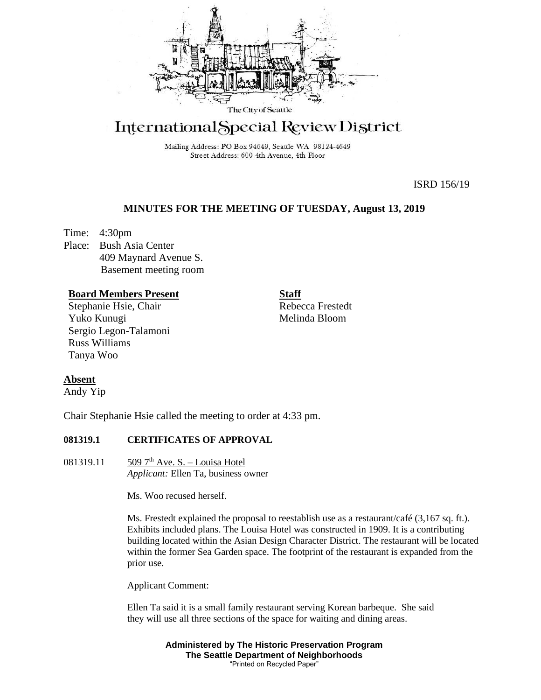

# International Special Review District

Mailing Address: PO Box 94649, Seattle WA 98124-4649 Street Address: 600 4th Avenue, 4th Floor

ISRD 156/19

# **MINUTES FOR THE MEETING OF TUESDAY, August 13, 2019**

Time: 4:30pm Place: Bush Asia Center 409 Maynard Avenue S. Basement meeting room

#### **Board Members Present**

Stephanie Hsie, Chair Yuko Kunugi Sergio Legon-Talamoni Russ Williams Tanya Woo

Rebecca Frestedt Melinda Bloom

**Staff**

## **Absent**

Andy Yip

Chair Stephanie Hsie called the meeting to order at 4:33 pm.

#### **081319.1 CERTIFICATES OF APPROVAL**

081319.11  $\frac{509 \, 7^{\text{th}} \text{Ave}}{500 \, 7^{\text{th}} \text{Ave}}$ . S. – Louisa Hotel *Applicant:* Ellen Ta, business owner

Ms. Woo recused herself.

Ms. Frestedt explained the proposal to reestablish use as a restaurant/café (3,167 sq. ft.). Exhibits included plans. The Louisa Hotel was constructed in 1909. It is a contributing building located within the Asian Design Character District. The restaurant will be located within the former Sea Garden space. The footprint of the restaurant is expanded from the prior use.

Applicant Comment:

Ellen Ta said it is a small family restaurant serving Korean barbeque. She said they will use all three sections of the space for waiting and dining areas.

> **Administered by The Historic Preservation Program The Seattle Department of Neighborhoods** "Printed on Recycled Paper"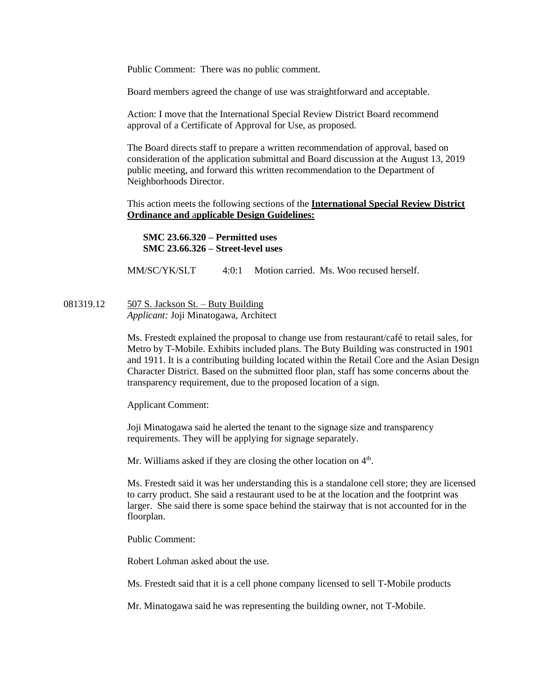Public Comment: There was no public comment.

Board members agreed the change of use was straightforward and acceptable.

Action: I move that the International Special Review District Board recommend approval of a Certificate of Approval for Use, as proposed.

The Board directs staff to prepare a written recommendation of approval, based on consideration of the application submittal and Board discussion at the August 13, 2019 public meeting, and forward this written recommendation to the Department of Neighborhoods Director.

This action meets the following sections of the **International Special Review District Ordinance and** a**pplicable Design Guidelines:**

**SMC 23.66.320 – Permitted uses SMC 23.66.326 – Street-level uses**

MM/SC/YK/SLT 4:0:1 Motion carried. Ms. Woo recused herself.

081319.12  $\qquad 507$  S. Jackson St. – Buty Building *Applicant:* Joji Minatogawa, Architect

> Ms. Frestedt explained the proposal to change use from restaurant/café to retail sales, for Metro by T-Mobile. Exhibits included plans. The Buty Building was constructed in 1901 and 1911. It is a contributing building located within the Retail Core and the Asian Design Character District. Based on the submitted floor plan, staff has some concerns about the transparency requirement, due to the proposed location of a sign.

Applicant Comment:

Joji Minatogawa said he alerted the tenant to the signage size and transparency requirements. They will be applying for signage separately.

Mr. Williams asked if they are closing the other location on  $4<sup>th</sup>$ .

Ms. Frestedt said it was her understanding this is a standalone cell store; they are licensed to carry product. She said a restaurant used to be at the location and the footprint was larger. She said there is some space behind the stairway that is not accounted for in the floorplan.

Public Comment:

Robert Lohman asked about the use.

Ms. Frestedt said that it is a cell phone company licensed to sell T-Mobile products

Mr. Minatogawa said he was representing the building owner, not T-Mobile.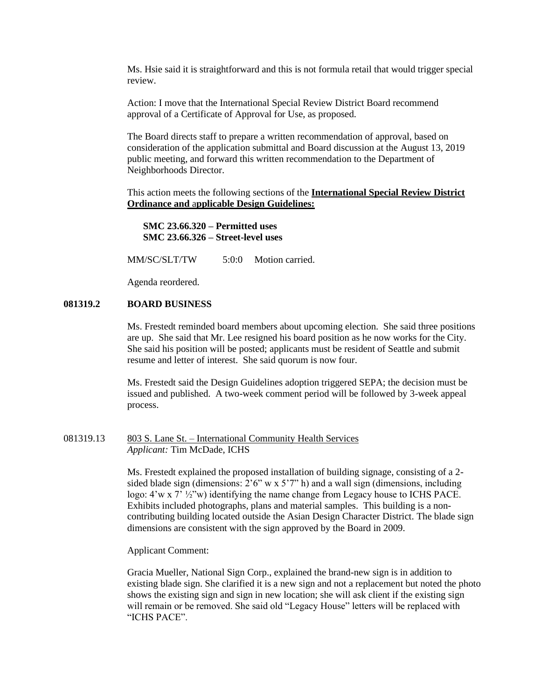Ms. Hsie said it is straightforward and this is not formula retail that would trigger special review.

Action: I move that the International Special Review District Board recommend approval of a Certificate of Approval for Use, as proposed.

The Board directs staff to prepare a written recommendation of approval, based on consideration of the application submittal and Board discussion at the August 13, 2019 public meeting, and forward this written recommendation to the Department of Neighborhoods Director.

This action meets the following sections of the **International Special Review District Ordinance and** a**pplicable Design Guidelines:**

**SMC 23.66.320 – Permitted uses SMC 23.66.326 – Street-level uses**

MM/SC/SLT/TW 5:0:0 Motion carried.

Agenda reordered.

### **081319.2 BOARD BUSINESS**

Ms. Frestedt reminded board members about upcoming election. She said three positions are up. She said that Mr. Lee resigned his board position as he now works for the City. She said his position will be posted; applicants must be resident of Seattle and submit resume and letter of interest. She said quorum is now four.

Ms. Frestedt said the Design Guidelines adoption triggered SEPA; the decision must be issued and published. A two-week comment period will be followed by 3-week appeal process.

#### 081319.13 803 S. Lane St. – International Community Health Services *Applicant:* Tim McDade, ICHS

Ms. Frestedt explained the proposed installation of building signage, consisting of a 2 sided blade sign (dimensions:  $2'6''$  w x  $5'7''$  h) and a wall sign (dimensions, including logo:  $4' \le 7'$  ½"w) identifying the name change from Legacy house to ICHS PACE. Exhibits included photographs, plans and material samples. This building is a noncontributing building located outside the Asian Design Character District. The blade sign dimensions are consistent with the sign approved by the Board in 2009.

Applicant Comment:

Gracia Mueller, National Sign Corp., explained the brand-new sign is in addition to existing blade sign. She clarified it is a new sign and not a replacement but noted the photo shows the existing sign and sign in new location; she will ask client if the existing sign will remain or be removed. She said old "Legacy House" letters will be replaced with "ICHS PACE".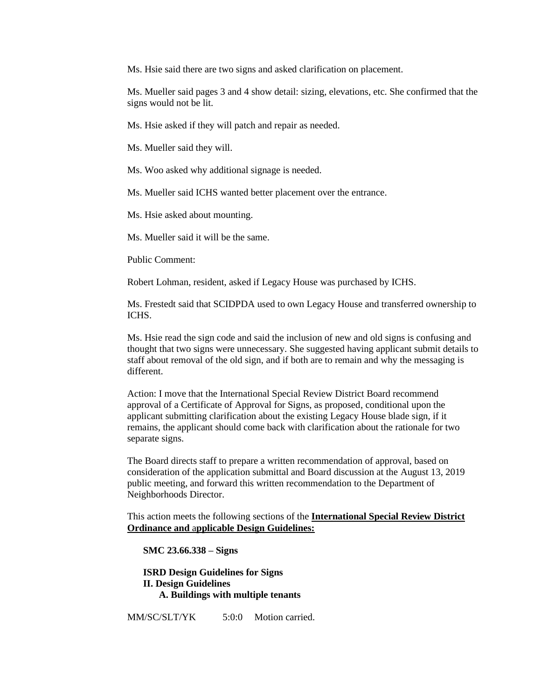Ms. Hsie said there are two signs and asked clarification on placement.

Ms. Mueller said pages 3 and 4 show detail: sizing, elevations, etc. She confirmed that the signs would not be lit.

Ms. Hsie asked if they will patch and repair as needed.

Ms. Mueller said they will.

Ms. Woo asked why additional signage is needed.

Ms. Mueller said ICHS wanted better placement over the entrance.

Ms. Hsie asked about mounting.

Ms. Mueller said it will be the same.

Public Comment:

Robert Lohman, resident, asked if Legacy House was purchased by ICHS.

Ms. Frestedt said that SCIDPDA used to own Legacy House and transferred ownership to ICHS.

Ms. Hsie read the sign code and said the inclusion of new and old signs is confusing and thought that two signs were unnecessary. She suggested having applicant submit details to staff about removal of the old sign, and if both are to remain and why the messaging is different.

Action: I move that the International Special Review District Board recommend approval of a Certificate of Approval for Signs, as proposed, conditional upon the applicant submitting clarification about the existing Legacy House blade sign, if it remains, the applicant should come back with clarification about the rationale for two separate signs.

The Board directs staff to prepare a written recommendation of approval, based on consideration of the application submittal and Board discussion at the August 13, 2019 public meeting, and forward this written recommendation to the Department of Neighborhoods Director.

This action meets the following sections of the **International Special Review District Ordinance and** a**pplicable Design Guidelines:**

**SMC 23.66.338 – Signs**

**ISRD Design Guidelines for Signs II. Design Guidelines A. Buildings with multiple tenants**

MM/SC/SLT/YK 5:0:0 Motion carried.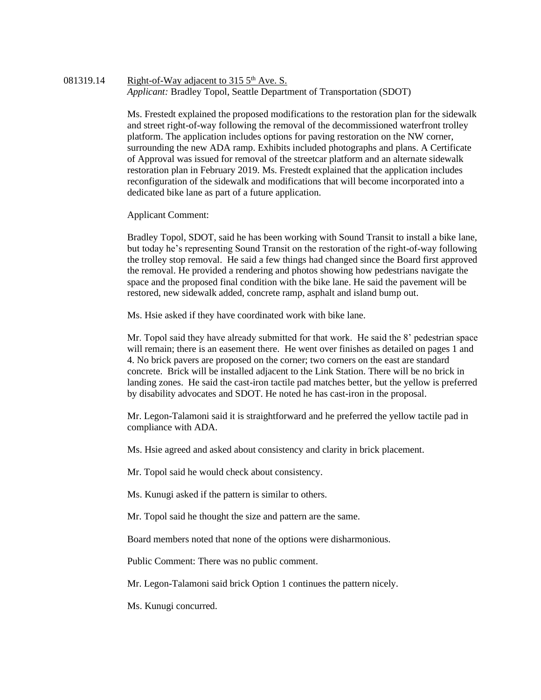### 081319.14 Right-of-Way adjacent to 315  $5<sup>th</sup>$  Ave. S. *Applicant:* Bradley Topol, Seattle Department of Transportation (SDOT)

Ms. Frestedt explained the proposed modifications to the restoration plan for the sidewalk and street right-of-way following the removal of the decommissioned waterfront trolley platform. The application includes options for paving restoration on the NW corner, surrounding the new ADA ramp. Exhibits included photographs and plans. A Certificate of Approval was issued for removal of the streetcar platform and an alternate sidewalk restoration plan in February 2019. Ms. Frestedt explained that the application includes reconfiguration of the sidewalk and modifications that will become incorporated into a dedicated bike lane as part of a future application.

Applicant Comment:

Bradley Topol, SDOT, said he has been working with Sound Transit to install a bike lane, but today he's representing Sound Transit on the restoration of the right-of-way following the trolley stop removal. He said a few things had changed since the Board first approved the removal. He provided a rendering and photos showing how pedestrians navigate the space and the proposed final condition with the bike lane. He said the pavement will be restored, new sidewalk added, concrete ramp, asphalt and island bump out.

Ms. Hsie asked if they have coordinated work with bike lane.

Mr. Topol said they have already submitted for that work. He said the 8' pedestrian space will remain; there is an easement there. He went over finishes as detailed on pages 1 and 4. No brick pavers are proposed on the corner; two corners on the east are standard concrete. Brick will be installed adjacent to the Link Station. There will be no brick in landing zones. He said the cast-iron tactile pad matches better, but the yellow is preferred by disability advocates and SDOT. He noted he has cast-iron in the proposal.

Mr. Legon-Talamoni said it is straightforward and he preferred the yellow tactile pad in compliance with ADA.

Ms. Hsie agreed and asked about consistency and clarity in brick placement.

Mr. Topol said he would check about consistency.

Ms. Kunugi asked if the pattern is similar to others.

Mr. Topol said he thought the size and pattern are the same.

Board members noted that none of the options were disharmonious.

Public Comment: There was no public comment.

Mr. Legon-Talamoni said brick Option 1 continues the pattern nicely.

Ms. Kunugi concurred.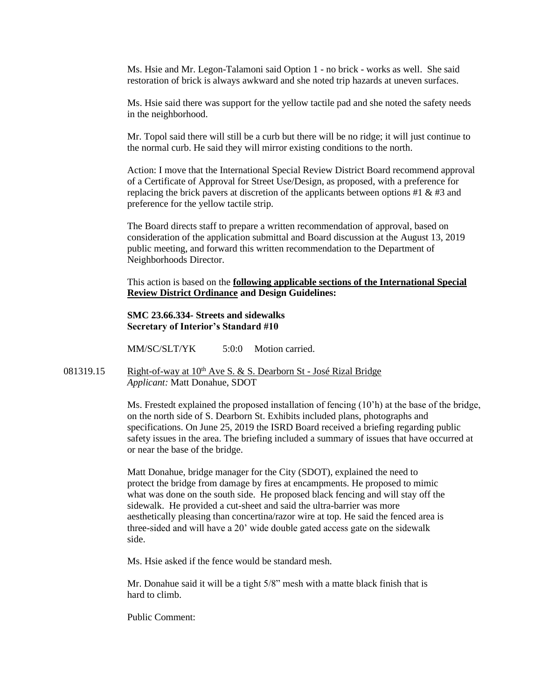Ms. Hsie and Mr. Legon-Talamoni said Option 1 - no brick - works as well. She said restoration of brick is always awkward and she noted trip hazards at uneven surfaces.

Ms. Hsie said there was support for the yellow tactile pad and she noted the safety needs in the neighborhood.

Mr. Topol said there will still be a curb but there will be no ridge; it will just continue to the normal curb. He said they will mirror existing conditions to the north.

Action: I move that the International Special Review District Board recommend approval of a Certificate of Approval for Street Use/Design, as proposed, with a preference for replacing the brick pavers at discretion of the applicants between options  $#1 \& #3$  and preference for the yellow tactile strip.

The Board directs staff to prepare a written recommendation of approval, based on consideration of the application submittal and Board discussion at the August 13, 2019 public meeting, and forward this written recommendation to the Department of Neighborhoods Director.

This action is based on the **following applicable sections of the International Special Review District Ordinance and Design Guidelines:** 

#### **SMC 23.66.334- Streets and sidewalks Secretary of Interior's Standard #10**

MM/SC/SLT/YK 5:0:0 Motion carried.

081319.15 Right-of-way at  $10^{th}$  Ave S. & S. Dearborn St - José Rizal Bridge *Applicant:* Matt Donahue, SDOT

> Ms. Frestedt explained the proposed installation of fencing  $(10<sup>th</sup>)$  at the base of the bridge, on the north side of S. Dearborn St. Exhibits included plans, photographs and specifications. On June 25, 2019 the ISRD Board received a briefing regarding public safety issues in the area. The briefing included a summary of issues that have occurred at or near the base of the bridge.

Matt Donahue, bridge manager for the City (SDOT), explained the need to protect the bridge from damage by fires at encampments. He proposed to mimic what was done on the south side. He proposed black fencing and will stay off the sidewalk. He provided a cut-sheet and said the ultra-barrier was more aesthetically pleasing than concertina/razor wire at top. He said the fenced area is three-sided and will have a 20' wide double gated access gate on the sidewalk side.

Ms. Hsie asked if the fence would be standard mesh.

Mr. Donahue said it will be a tight 5/8" mesh with a matte black finish that is hard to climb.

Public Comment: